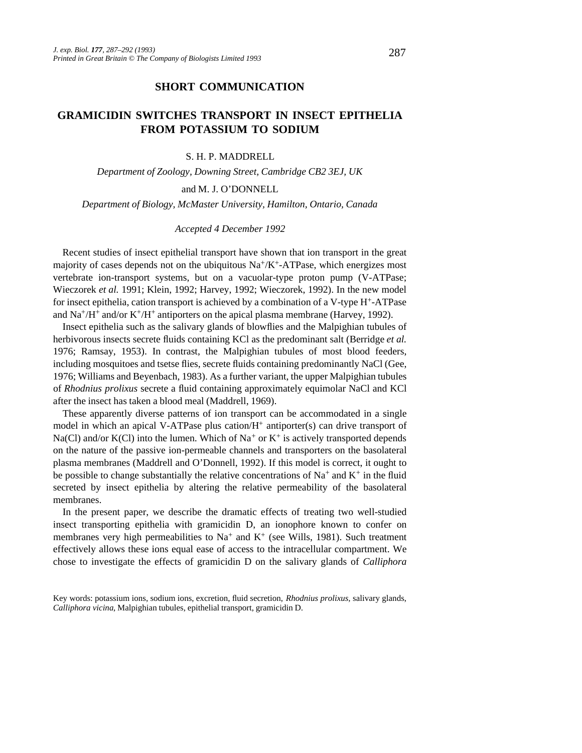## **SHORT COMMUNICATION**

# **GRAMICIDIN SWITCHES TRANSPORT IN INSECT EPITHELIA FROM POTASSIUM TO SODIUM**

### S. H. P. MADDRELL

*Department of Zoology, Downing Street, Cambridge CB2 3EJ, UK* 

#### and M. J. O'DONNELL

*Department of Biology, McMaster University, Hamilton, Ontario, Canada*

#### *Accepted 4 December 1992*

Recent studies of insect epithelial transport have shown that ion transport in the great majority of cases depends not on the ubiquitous  $Na^+/K^+$ -ATPase, which energizes most vertebrate ion-transport systems, but on a vacuolar-type proton pump (V-ATPase; Wieczorek *et al.* 1991; Klein, 1992; Harvey, 1992; Wieczorek, 1992). In the new model for insect epithelia, cation transport is achieved by a combination of a V-type  $H^+$ -ATPase and  $\text{Na}^+\text{/H}^+$  and/or K<sup>+</sup>/H<sup>+</sup> antiporters on the apical plasma membrane (Harvey, 1992).

Insect epithelia such as the salivary glands of blowflies and the Malpighian tubules of herbivorous insects secrete fluids containing KCl as the predominant salt (Berridge *et al.* 1976; Ramsay, 1953). In contrast, the Malpighian tubules of most blood feeders, including mosquitoes and tsetse flies, secrete fluids containing predominantly NaCl (Gee, 1976; Williams and Beyenbach, 1983). As a further variant, the upper Malpighian tubules of *Rhodnius prolixus* secrete a fluid containing approximately equimolar NaCl and KCl after the insect has taken a blood meal (Maddrell, 1969).

These apparently diverse patterns of ion transport can be accommodated in a single model in which an apical V-ATPase plus cation/ $H^+$  antiporter(s) can drive transport of Na(Cl) and/or K(Cl) into the lumen. Which of Na<sup>+</sup> or K<sup>+</sup> is actively transported depends on the nature of the passive ion-permeable channels and transporters on the basolateral plasma membranes (Maddrell and O'Donnell, 1992). If this model is correct, it ought to be possible to change substantially the relative concentrations of  $Na^+$  and  $K^+$  in the fluid secreted by insect epithelia by altering the relative permeability of the basolateral membranes.

In the present paper, we describe the dramatic effects of treating two well-studied insect transporting epithelia with gramicidin D, an ionophore known to confer on membranes very high permeabilities to  $Na^+$  and  $K^+$  (see Wills, 1981). Such treatment effectively allows these ions equal ease of access to the intracellular compartment. We chose to investigate the effects of gramicidin D on the salivary glands of *Calliphora*

Key words: potassium ions, sodium ions, excretion, fluid secretion, *Rhodnius prolixus,* salivary glands, *Calliphora vicina*, Malpighian tubules, epithelial transport, gramicidin D.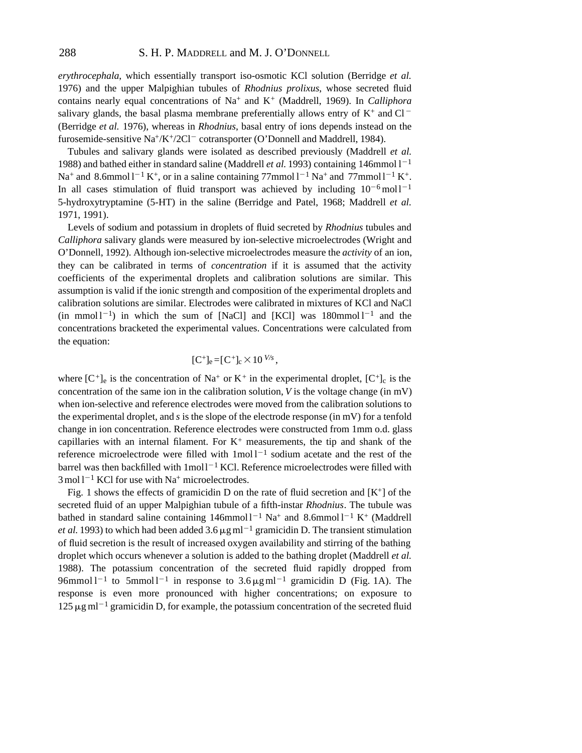*erythrocephala*, which essentially transport iso-osmotic KCl solution (Berridge *et al.* 1976) and the upper Malpighian tubules of *Rhodnius prolixus*, whose secreted fluid contains nearly equal concentrations of Na<sup>+</sup> and K<sup>+</sup> (Maddrell, 1969). In *Calliphora* salivary glands, the basal plasma membrane preferentially allows entry of  $K^+$  and Cl<sup>-</sup> (Berridge *et al.* 1976), whereas in *Rhodnius*, basal entry of ions depends instead on the furosemide-sensitive Na<sup>+</sup>/K<sup>+</sup>/2Cl<sup>-</sup> cotransporter (O'Donnell and Maddrell, 1984).

Tubules and salivary glands were isolated as described previously (Maddrell *et al.* 1988) and bathed either in standard saline (Maddrell *et al.* 1993) containing 146mmol  $1^{-1}$ Na<sup>+</sup> and 8.6mmol  $1^{-1} K^{+}$ , or in a saline containing 77mmol  $1^{-1}$  Na<sup>+</sup> and 77mmol  $1^{-1} K^{+}$ . In all cases stimulation of fluid transport was achieved by including  $10^{-6}$  moll<sup>-1</sup> 5-hydroxytryptamine (5-HT) in the saline (Berridge and Patel, 1968; Maddrell *et al.* 1971, 1991).

Levels of sodium and potassium in droplets of fluid secreted by *Rhodnius* tubules and *Calliphora* salivary glands were measured by ion-selective microelectrodes (Wright and O'Donnell, 1992). Although ion-selective microelectrodes measure the *activity* of an ion, they can be calibrated in terms of *concentration* if it is assumed that the activity coefficients of the experimental droplets and calibration solutions are similar. This assumption is valid if the ionic strength and composition of the experimental droplets and calibration solutions are similar. Electrodes were calibrated in mixtures of KCl and NaCl  $(in \text{ mmol } 1^{-1})$  in which the sum of [NaCl] and [KCl] was  $180 \text{ mmol } 1^{-1}$  and the concentrations bracketed the experimental values. Concentrations were calculated from the equation:

$$
[C^+]_e = [C^+]_c \times 10^{V/s},
$$

where  $[C^+]_e$  is the concentration of Na<sup>+</sup> or K<sup>+</sup> in the experimental droplet,  $[C^+]_c$  is the concentration of the same ion in the calibration solution, *V* is the voltage change (in mV) when ion-selective and reference electrodes were moved from the calibration solutions to the experimental droplet, and *s* is the slope of the electrode response (in mV) for a tenfold change in ion concentration. Reference electrodes were constructed from 1mm o.d. glass capillaries with an internal filament. For  $K^+$  measurements, the tip and shank of the reference microelectrode were filled with  $1 \text{mol}^{-1}$  sodium acetate and the rest of the barrel was then backfilled with  $1 \text{mol}^{-1}$  KCl. Reference microelectrodes were filled with  $3 \text{ mol} 1^{-1}$  KCl for use with Na<sup>+</sup> microelectrodes.

Fig. 1 shows the effects of gramicidin D on the rate of fluid secretion and  $[K^+]$  of the secreted fluid of an upper Malpighian tubule of a fifth-instar *Rhodnius*. The tubule was bathed in standard saline containing  $146$ mmol  $1^{-1}$  Na<sup>+</sup> and 8.6mmol  $1^{-1}$  K<sup>+</sup> (Maddrell *et al.* 1993) to which had been added 3.6  $\mu$ gml<sup>-1</sup> gramicidin D. The transient stimulation of fluid secretion is the result of increased oxygen availability and stirring of the bathing droplet which occurs whenever a solution is added to the bathing droplet (Maddrell *et al.* 1988). The potassium concentration of the secreted fluid rapidly dropped from  $96$ mmol l<sup>-1</sup> to 5mmol l<sup>-1</sup> in response to  $3.6 \,\mu g$  ml<sup>-1</sup> gramicidin D (Fig. 1A). The response is even more pronounced with higher concentrations; on exposure to  $125 \,\mu g$  ml<sup>-1</sup> gramicidin D, for example, the potassium concentration of the secreted fluid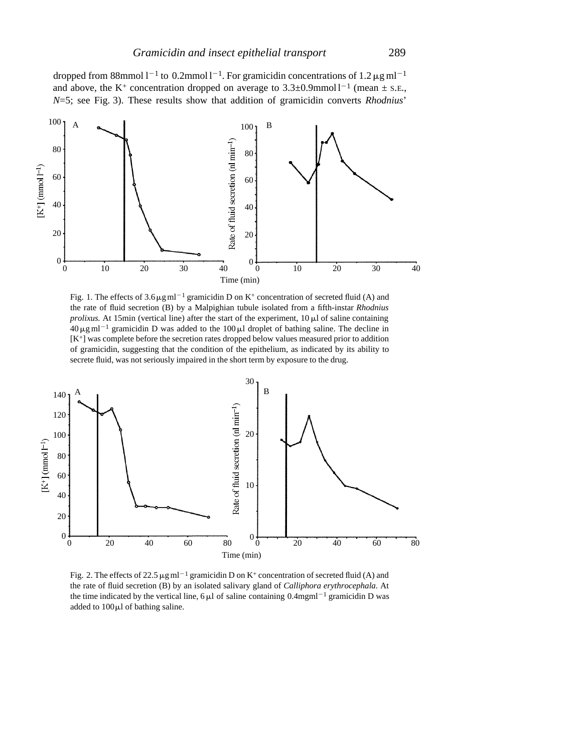

Fig. 1. The effects of  $3.6 \,\mathrm{\upmu}\mathrm{g}\mathrm{m}$ l<sup>-1</sup> gramicidin D on K<sup>+</sup> concentration of secreted fluid (A) and the rate of fluid secretion (B) by a Malpighian tubule isolated from a fifth-instar *Rhodnius prolixus.* At 15min (vertical line) after the start of the experiment,  $10 \mu$  of saline containing  $40 \,\mu\text{g} \,\text{ml}^{-1}$  gramicidin D was added to the  $100 \,\mu\text{J}$  droplet of bathing saline. The decline in [K+] was complete before the secretion rates dropped below values measured prior to addition of gramicidin, suggesting that the condition of the epithelium, as indicated by its ability to secrete fluid, was not seriously impaired in the short term by exposure to the drug.



Fig. 2. The effects of 22.5  $\mu$ g ml<sup>-1</sup> gramicidin D on K<sup>+</sup> concentration of secreted fluid (A) and the rate of fluid secretion (B) by an isolated salivary gland of *Calliphora erythrocephala.* At the time indicated by the vertical line,  $6 \mu l$  of saline containing 0.4mgml<sup>-1</sup> gramicidin D was added to  $100 \mu l$  of bathing saline.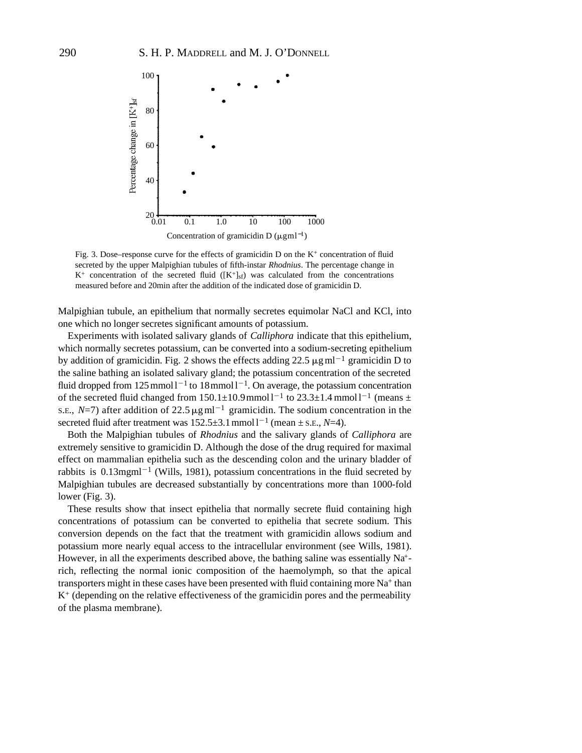

Fig. 3. Dose–response curve for the effects of gramicidin D on the  $K^+$  concentration of fluid secreted by the upper Malpighian tubules of fifth-instar *Rhodnius*. The percentage change in  $K^+$  concentration of the secreted fluid  $([K^+]_{sf})$  was calculated from the concentrations measured before and 20min after the addition of the indicated dose of gramicidin D.

Malpighian tubule, an epithelium that normally secretes equimolar NaCl and KCl, into one which no longer secretes significant amounts of potassium.

Experiments with isolated salivary glands of *Calliphora* indicate that this epithelium, which normally secretes potassium, can be converted into a sodium-secreting epithelium by addition of gramicidin. Fig. 2 shows the effects adding 22.5  $\mu$ g ml<sup>-1</sup> gramicidin D to the saline bathing an isolated salivary gland; the potassium concentration of the secreted fluid dropped from  $125$  mmo $11^{-1}$  to  $18$  mmo $11^{-1}$ . On average, the potassium concentration of the secreted fluid changed from  $150.1 \pm 10.9$  mmol  $1^{-1}$  to  $23.3 \pm 1.4$  mmol  $1^{-1}$  (means  $\pm$ s.e.,  $N=7$ ) after addition of 22.5  $\mu$ g ml<sup>-1</sup> gramicidin. The sodium concentration in the secreted fluid after treatment was  $152.5 \pm 3.1$  mmol l<sup>-1</sup> (mean  $\pm$  s.e., *N*=4).

Both the Malpighian tubules of *Rhodnius* and the salivary glands of *Calliphora* are extremely sensitive to gramicidin D. Although the dose of the drug required for maximal effect on mammalian epithelia such as the descending colon and the urinary bladder of rabbits is  $0.13$ mgml<sup>-1</sup> (Wills, 1981), potassium concentrations in the fluid secreted by Malpighian tubules are decreased substantially by concentrations more than 1000-fold lower (Fig. 3).

These results show that insect epithelia that normally secrete fluid containing high concentrations of potassium can be converted to epithelia that secrete sodium. This conversion depends on the fact that the treatment with gramicidin allows sodium and potassium more nearly equal access to the intracellular environment (see Wills, 1981). However, in all the experiments described above, the bathing saline was essentially Na<sup>+</sup>rich, reflecting the normal ionic composition of the haemolymph, so that the apical transporters might in these cases have been presented with fluid containing more  $Na<sup>+</sup>$  than  $K<sup>+</sup>$  (depending on the relative effectiveness of the gramicidin pores and the permeability of the plasma membrane).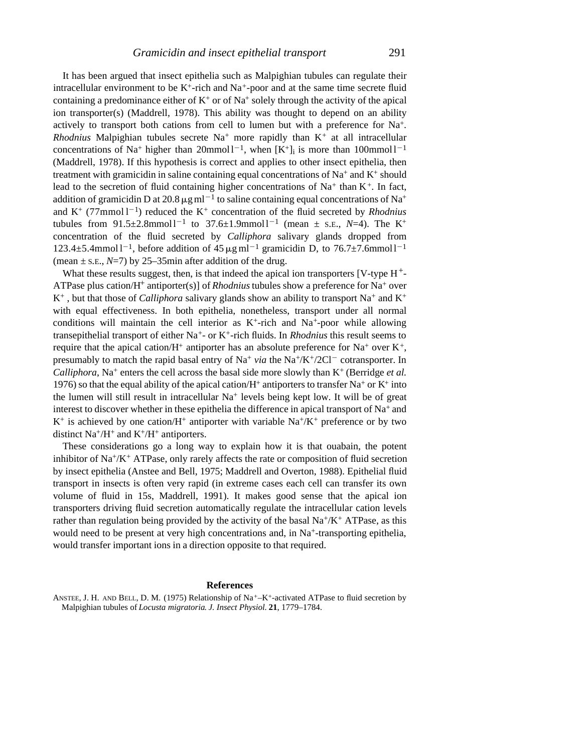It has been argued that insect epithelia such as Malpighian tubules can regulate their intracellular environment to be  $K^+$ -rich and  $Na^+$ -poor and at the same time secrete fluid containing a predominance either of  $K^+$  or of Na<sup>+</sup> solely through the activity of the apical ion transporter(s) (Maddrell, 1978). This ability was thought to depend on an ability actively to transport both cations from cell to lumen but with a preference for Na+. *Rhodnius* Malpighian tubules secrete  $Na<sup>+</sup>$  more rapidly than  $K<sup>+</sup>$  at all intracellular concentrations of Na<sup>+</sup> higher than 20mmol  $1^{-1}$ , when  $[K^+]$  is more than 100mmol  $1^{-1}$ (Maddrell, 1978). If this hypothesis is correct and applies to other insect epithelia, then treatment with gramicidin in saline containing equal concentrations of  $Na<sup>+</sup>$  and  $K<sup>+</sup>$  should lead to the secretion of fluid containing higher concentrations of  $Na^+$  than  $K^+$ . In fact, addition of gramicidin D at 20.8  $\mu$ g ml<sup>-1</sup> to saline containing equal concentrations of Na<sup>+</sup> and  $K^+$  (77mmol  $1^{-1}$ ) reduced the  $K^+$  concentration of the fluid secreted by *Rhodnius* tubules from  $91.5 \pm 2.8$ mmoll<sup>-1</sup> to  $37.6 \pm 1.9$ mmoll<sup>-1</sup> (mean  $\pm$  s.e., *N*=4). The K<sup>+</sup> concentration of the fluid secreted by *Calliphora* salivary glands dropped from 123.4 $\pm$ 5.4mmol l<sup>-1</sup>, before addition of 45  $\mu$ g ml<sup>-1</sup> gramicidin D, to 76.7 $\pm$ 7.6mmol l<sup>-1</sup> (mean  $\pm$  s.E.,  $N=7$ ) by 25–35min after addition of the drug.

What these results suggest, then, is that indeed the apical ion transporters  $\lceil V$ -type  $H^+$ -ATPase plus cation/H+ antiporter(s)] of *Rhodnius*tubules show a preference for Na<sup>+</sup> over  $K^+$ , but that those of *Calliphora* salivary glands show an ability to transport Na<sup>+</sup> and K<sup>+</sup> with equal effectiveness. In both epithelia, nonetheless, transport under all normal conditions will maintain the cell interior as  $K^+$ -rich and Na<sup>+</sup>-poor while allowing transepithelial transport of either Na+- or K+-rich fluids. In *Rhodnius* this result seems to require that the apical cation/H<sup>+</sup> antiporter has an absolute preference for Na<sup>+</sup> over K<sup>+</sup>, presumably to match the rapid basal entry of Na<sup>+</sup> *via* the Na<sup>+</sup>/K<sup>+</sup>/2Cl<sup>-</sup> cotransporter. In *Calliphora*, Na<sup>+</sup> enters the cell across the basal side more slowly than K<sup>+</sup> (Berridge *et al.* 1976) so that the equal ability of the apical cation/ $H^+$  antiporters to transfer Na<sup>+</sup> or K<sup>+</sup> into the lumen will still result in intracellular  $Na<sup>+</sup>$  levels being kept low. It will be of great interest to discover whether in these epithelia the difference in apical transport of  $Na^+$  and  $K^+$  is achieved by one cation/H<sup>+</sup> antiporter with variable Na<sup>+</sup>/K<sup>+</sup> preference or by two distinct  $Na^+/H^+$  and  $K^+/H^+$  antiporters.

These considerations go a long way to explain how it is that ouabain, the potent inhibitor of  $Na^+/K^+$  ATPase, only rarely affects the rate or composition of fluid secretion by insect epithelia (Anstee and Bell, 1975; Maddrell and Overton, 1988). Epithelial fluid transport in insects is often very rapid (in extreme cases each cell can transfer its own volume of fluid in 15s, Maddrell, 1991). It makes good sense that the apical ion transporters driving fluid secretion automatically regulate the intracellular cation levels rather than regulation being provided by the activity of the basal  $Na^{+}/K^{+}ATP$ ase, as this would need to be present at very high concentrations and, in Na<sup>+</sup>-transporting epithelia, would transfer important ions in a direction opposite to that required.

#### **References**

ANSTEE, J. H. AND BELL, D. M. (1975) Relationship of Na+–K+-activated ATPase to fluid secretion by Malpighian tubules of *Locusta migratoria*. *J. Insect Physiol.* **21**, 1779–1784.